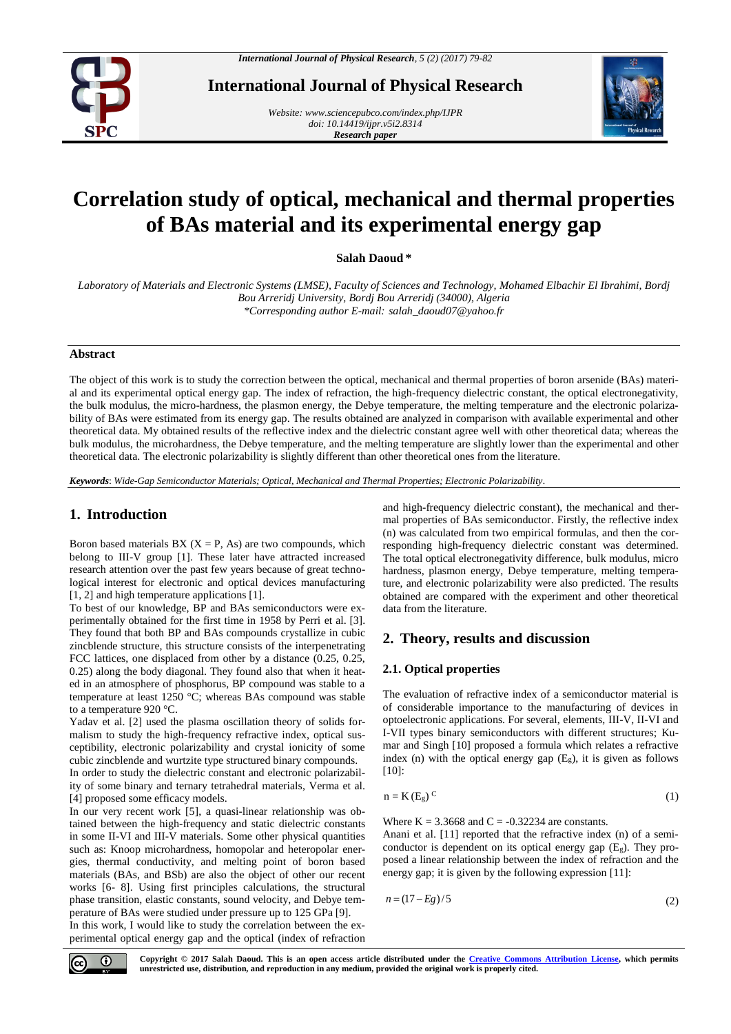

**International Journal of Physical Research**

*Website[: www.sciencepubco.com/index.php/IJPR](http://www.sciencepubco.com/index.php/IJPR) doi: 10.14419/ijpr.v5i2.8314 Research paper*



# **Correlation study of optical, mechanical and thermal properties of BAs material and its experimental energy gap**

**Salah Daoud \***

*Laboratory of Materials and Electronic Systems (LMSE), Faculty of Sciences and Technology, Mohamed Elbachir El Ibrahimi, Bordj Bou Arreridj University, Bordj Bou Arreridj (34000), Algeria \*Corresponding author E-mail: salah\_daoud07@yahoo.fr*

## **Abstract**

The object of this work is to study the correction between the optical, mechanical and thermal properties of boron arsenide (BAs) material and its experimental optical energy gap. The index of refraction, the high-frequency dielectric constant, the optical electronegativity, the bulk modulus, the micro-hardness, the plasmon energy, the Debye temperature, the melting temperature and the electronic polarizability of BAs were estimated from its energy gap. The results obtained are analyzed in comparison with available experimental and other theoretical data. My obtained results of the reflective index and the dielectric constant agree well with other theoretical data; whereas the bulk modulus, the microhardness, the Debye temperature, and the melting temperature are slightly lower than the experimental and other theoretical data. The electronic polarizability is slightly different than other theoretical ones from the literature.

*Keywords*: *Wide-Gap Semiconductor Materials; Optical, Mechanical and Thermal Properties; Electronic Polarizability.*

# **1. Introduction**

Boron based materials BX  $(X = P, As)$  are two compounds, which belong to III-V group [1]. These later have attracted increased research attention over the past few years because of great technological interest for electronic and optical devices manufacturing [1, 2] and high temperature applications [1].

To best of our knowledge, BP and BAs semiconductors were experimentally obtained for the first time in 1958 by Perri et al. [3]. They found that both BP and BAs compounds crystallize in cubic zincblende structure, this structure consists of the interpenetrating FCC lattices, one displaced from other by a distance (0.25, 0.25, 0.25) along the body diagonal. They found also that when it heated in an atmosphere of phosphorus, BP compound was stable to a temperature at least 1250 °C; whereas BAs compound was stable to a temperature 920 °C.

Yadav et al. [2] used the plasma oscillation theory of solids formalism to study the high-frequency refractive index, optical susceptibility, electronic polarizability and crystal ionicity of some cubic zincblende and wurtzite type structured binary compounds.

In order to study the dielectric constant and electronic polarizability of some binary and ternary tetrahedral materials, Verma et al. [4] proposed some efficacy models.

In our very recent work [5], a quasi-linear relationship was obtained between the high-frequency and static dielectric constants in some II-VI and III-V materials. Some other physical quantities such as: Knoop microhardness, homopolar and heteropolar energies, thermal conductivity, and melting point of boron based materials (BAs, and BSb) are also the object of other our recent works [6- 8]. Using first principles calculations, the structural phase transition, elastic constants, sound velocity, and Debye temperature of BAs were studied under pressure up to 125 GPa [9].

In this work, I would like to study the correlation between the experimental optical energy gap and the optical (index of refraction and high-frequency dielectric constant), the mechanical and thermal properties of BAs semiconductor. Firstly, the reflective index (n) was calculated from two empirical formulas, and then the corresponding high-frequency dielectric constant was determined. The total optical electronegativity difference, bulk modulus, micro hardness, plasmon energy, Debye temperature, melting temperature, and electronic polarizability were also predicted. The results obtained are compared with the experiment and other theoretical data from the literature.

# **2. Theory, results and discussion**

## **2.1. Optical properties**

The evaluation of refractive index of a semiconductor material is of considerable importance to the manufacturing of devices in optoelectronic applications. For several, elements, III-V, II-VI and I-VII types binary semiconductors with different structures; Kumar and Singh [10] proposed a formula which relates a refractive index (n) with the optical energy gap  $(E_g)$ , it is given as follows [10]:

$$
n = K(E_g)^C
$$
 (1)

Where  $K = 3.3668$  and  $C = -0.32234$  are constants.

Anani et al. [11] reported that the refractive index (n) of a semiconductor is dependent on its optical energy gap  $(E_g)$ . They proposed a linear relationship between the index of refraction and the energy gap; it is given by the following expression [11]:

$$
n = (17 - Eg)/5\tag{2}
$$

 $\odot$ 

**Copyright © 2017 Salah Daoud. This is an open access article distributed under the [Creative Commons Attribution License,](http://creativecommons.org/licenses/by/3.0/) which permits unrestricted use, distribution, and reproduction in any medium, provided the original work is properly cited.**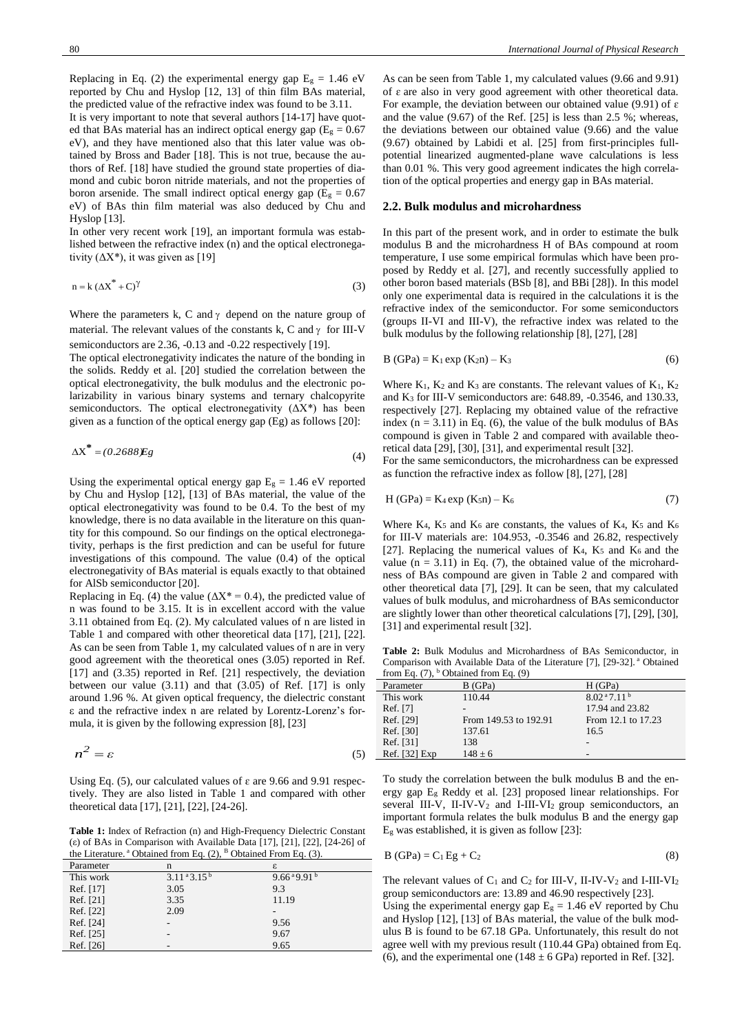Replacing in Eq. (2) the experimental energy gap  $E<sub>g</sub> = 1.46$  eV reported by Chu and Hyslop [12, 13] of thin film BAs material, the predicted value of the refractive index was found to be 3.11. It is very important to note that several authors [14-17] have quoted that BAs material has an indirect optical energy gap ( $E<sub>g</sub> = 0.67$ )

eV), and they have mentioned also that this later value was obtained by Bross and Bader [18]. This is not true, because the authors of Ref. [18] have studied the ground state properties of diamond and cubic boron nitride materials, and not the properties of boron arsenide. The small indirect optical energy gap ( $E<sub>g</sub> = 0.67$ ) eV) of BAs thin film material was also deduced by Chu and Hyslop [13].

In other very recent work [19], an important formula was established between the refractive index (n) and the optical electronegativity  $(\Delta X^*)$ , it was given as [19]

$$
n = k \left(\Delta X^* + C\right)^{\gamma}
$$
 (3)

Where the parameters k, C and  $\gamma$  depend on the nature group of material. The relevant values of the constants k, C and  $\gamma$  for III-V semiconductors are 2.36, -0.13 and -0.22 respectively [19].

The optical electronegativity indicates the nature of the bonding in the solids. Reddy et al. [20] studied the correlation between the optical electronegativity, the bulk modulus and the electronic polarizability in various binary systems and ternary chalcopyrite semiconductors. The optical electronegativity  $(\Delta X^*)$  has been given as a function of the optical energy gap (Eg) as follows [20]:

$$
\Delta X^* = (0.2688)Eg\tag{4}
$$

Using the experimental optical energy gap  $E<sub>g</sub> = 1.46$  eV reported by Chu and Hyslop [12], [13] of BAs material, the value of the optical electronegativity was found to be 0.4. To the best of my knowledge, there is no data available in the literature on this quantity for this compound. So our findings on the optical electronegativity, perhaps is the first prediction and can be useful for future investigations of this compound. The value (0.4) of the optical electronegativity of BAs material is equals exactly to that obtained for AlSb semiconductor [20].

Replacing in Eq. (4) the value ( $\Delta X^* = 0.4$ ), the predicted value of n was found to be 3.15. It is in excellent accord with the value 3.11 obtained from Eq. (2). My calculated values of n are listed in Table 1 and compared with other theoretical data [17], [21], [22]. As can be seen from Table 1, my calculated values of n are in very good agreement with the theoretical ones (3.05) reported in Ref. [17] and (3.35) reported in Ref. [21] respectively, the deviation between our value (3.11) and that (3.05) of Ref. [17] is only around 1.96 %. At given optical frequency, the dielectric constant ε and the refractive index n are related by Lorentz-Lorenz's formula, it is given by the following expression [8], [23]

$$
n^2 = \varepsilon \tag{5}
$$

Using Eq. (5), our calculated values of  $\varepsilon$  are 9.66 and 9.91 respectively. They are also listed in Table 1 and compared with other theoretical data [17], [21], [22], [24-26].

**Table 1:** Index of Refraction (n) and High-Frequency Dielectric Constant (ε) of BAs in Comparison with Available Data [17], [21], [22], [24-26] of the Literature.<sup>a</sup> Obtained from Eq. (2), <sup>B</sup> Obtained From Eq. (3).

|           | .                  |                                  |
|-----------|--------------------|----------------------------------|
| Parameter | n                  | ε                                |
| This work | $3.11^{a}3.15^{b}$ | $9.66^{\text{a}}9.91^{\text{b}}$ |
| Ref. [17] | 3.05               | 9.3                              |
| Ref. [21] | 3.35               | 11.19                            |
| Ref. [22] | 2.09               | -                                |
| Ref. [24] |                    | 9.56                             |
| Ref. [25] |                    | 9.67                             |
| Ref. [26] | -                  | 9.65                             |
|           |                    |                                  |

As can be seen from Table 1, my calculated values (9.66 and 9.91) of ɛ are also in very good agreement with other theoretical data. For example, the deviation between our obtained value (9.91) of  $\varepsilon$ and the value (9.67) of the Ref. [25] is less than 2.5 %; whereas, the deviations between our obtained value (9.66) and the value (9.67) obtained by Labidi et al. [25] from first-principles fullpotential linearized augmented-plane wave calculations is less than 0.01 %. This very good agreement indicates the high correlation of the optical properties and energy gap in BAs material.

#### **2.2. Bulk modulus and microhardness**

In this part of the present work, and in order to estimate the bulk modulus B and the microhardness H of BAs compound at room temperature, I use some empirical formulas which have been proposed by Reddy et al. [27], and recently successfully applied to other boron based materials (BSb [8], and BBi [28]). In this model only one experimental data is required in the calculations it is the refractive index of the semiconductor. For some semiconductors (groups II-VI and III-V), the refractive index was related to the bulk modulus by the following relationship [8], [27], [28]

$$
B(GPa) = K_1 \exp(K_{2}n) - K_3 \tag{6}
$$

Where  $K_1$ ,  $K_2$  and  $K_3$  are constants. The relevant values of  $K_1$ ,  $K_2$ and K<sup>3</sup> for III-V semiconductors are: 648.89, -0.3546, and 130.33, respectively [27]. Replacing my obtained value of the refractive index  $(n = 3.11)$  in Eq. (6), the value of the bulk modulus of BAs compound is given in Table 2 and compared with available theoretical data [29], [30], [31], and experimental result [32].

For the same semiconductors, the microhardness can be expressed as function the refractive index as follow [8], [27], [28]

$$
H(GPa) = K_4 \exp (K_5 n) - K_6 \tag{7}
$$

Where  $K_4$ ,  $K_5$  and  $K_6$  are constants, the values of  $K_4$ ,  $K_5$  and  $K_6$ for III-V materials are: 104.953, -0.3546 and 26.82, respectively [27]. Replacing the numerical values of  $K_4$ ,  $K_5$  and  $K_6$  and the value  $(n = 3.11)$  in Eq. (7), the obtained value of the microhardness of BAs compound are given in Table 2 and compared with other theoretical data [7], [29]. It can be seen, that my calculated values of bulk modulus, and microhardness of BAs semiconductor are slightly lower than other theoretical calculations [7], [29], [30], [31] and experimental result [32].

**Table 2:** Bulk Modulus and Microhardness of BAs Semiconductor, in Comparison with Available Data of the Literature [7], [29-32]. <sup>a</sup> Obtained from Eq.  $(7)$ , <sup>b</sup> Obtained from Eq.  $(9)$ 

| $11.0111$ and $17.75$ | 500                   |                                     |
|-----------------------|-----------------------|-------------------------------------|
| Parameter             | B(GPa)                | H(GPa)                              |
| This work             | 110.44                | 8.02 <sup>a</sup> 7.11 <sup>b</sup> |
| Ref. [7]              |                       | 17.94 and 23.82                     |
| Ref. [29]             | From 149.53 to 192.91 | From 12.1 to 17.23                  |
| Ref. [30]             | 137.61                | 16.5                                |
| Ref. [31]             | 138                   |                                     |
| Ref. [32] Exp         | $148 \pm 6$           |                                     |

To study the correlation between the bulk modulus B and the energy gap E<sup>g</sup> Reddy et al. [23] proposed linear relationships. For several III-V, II-IV-V<sup>2</sup> and I-III-VI2 group semiconductors, an important formula relates the bulk modulus B and the energy gap  $E<sub>g</sub>$  was established, it is given as follow [23]:

$$
B(GPa) = C_1 Eg + C_2
$$
 (8)

The relevant values of  $C_1$  and  $C_2$  for III-V, II-IV-V<sub>2</sub> and I-III-VI<sub>2</sub> group semiconductors are: 13.89 and 46.90 respectively [23].

Using the experimental energy gap  $E<sub>g</sub> = 1.46$  eV reported by Chu and Hyslop [12], [13] of BAs material, the value of the bulk modulus B is found to be 67.18 GPa. Unfortunately, this result do not agree well with my previous result (110.44 GPa) obtained from Eq. (6), and the experimental one (148  $\pm$  6 GPa) reported in Ref. [32].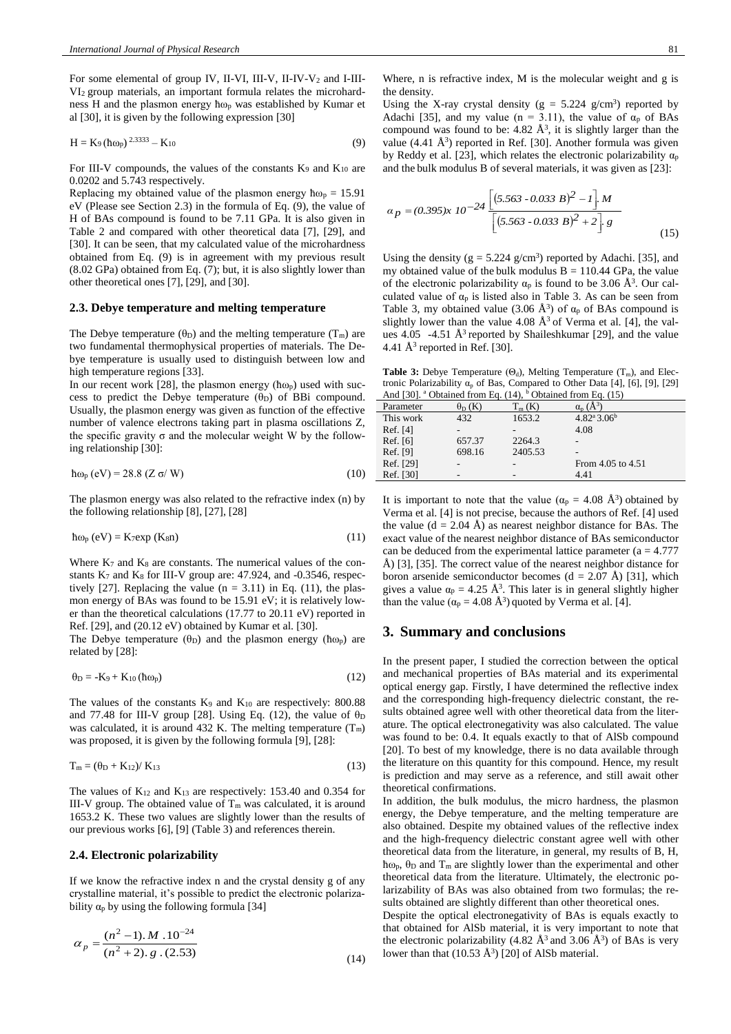For some elemental of group IV, II-VI, III-V, II-IV-V<sub>2</sub> and I-III-VI2 group materials, an important formula relates the microhardness H and the plasmon energy ћω<sup>p</sup> was established by Kumar et al [30], it is given by the following expression [30]

$$
H = K_9 (\hbar \omega_p)^{2.3333} - K_{10}
$$
 (9)

For III-V compounds, the values of the constants  $K_9$  and  $K_{10}$  are 0.0202 and 5.743 respectively.

Replacing my obtained value of the plasmon energy  $\hbar \omega_p = 15.91$ eV (Please see Section 2.3) in the formula of Eq. (9), the value of H of BAs compound is found to be 7.11 GPa. It is also given in Table 2 and compared with other theoretical data [7], [29], and [30]. It can be seen, that my calculated value of the microhardness obtained from Eq. (9) is in agreement with my previous result (8.02 GPa) obtained from Eq. (7); but, it is also slightly lower than other theoretical ones [7], [29], and [30].

#### **2.3. Debye temperature and melting temperature**

The Debye temperature ( $\theta_D$ ) and the melting temperature (T<sub>m</sub>) are two fundamental thermophysical properties of materials. The Debye temperature is usually used to distinguish between low and high temperature regions [33].

In our recent work [28], the plasmon energy ( $\hbar \omega_p$ ) used with success to predict the Debye temperature  $(\theta_D)$  of BBi compound. Usually, the plasmon energy was given as function of the effective number of valence electrons taking part in plasma oscillations Z, the specific gravity σ and the molecular weight W by the following relationship [30]:

$$
\hbar\omega_{\rm p} \, (\text{eV}) = 28.8 \, (Z \, \sigma / \, \text{W}) \tag{10}
$$

The plasmon energy was also related to the refractive index (n) by the following relationship [8], [27], [28]

$$
\hbar\omega_{p} (eV) = K_{7} exp (K_{8}n)
$$
 (11)

Where  $K_7$  and  $K_8$  are constants. The numerical values of the constants  $K_7$  and  $K_8$  for III-V group are: 47.924, and -0.3546, respectively [27]. Replacing the value ( $n = 3.11$ ) in Eq. (11), the plasmon energy of BAs was found to be 15.91 eV; it is relatively lower than the theoretical calculations (17.77 to 20.11 eV) reported in Ref. [29], and (20.12 eV) obtained by Kumar et al. [30].

The Debye temperature ( $\theta_D$ ) and the plasmon energy ( $\hbar \omega_p$ ) are related by [28]:

$$
\theta_{\rm D} = -\mathbf{K}_9 + \mathbf{K}_{10} (\hbar \omega_{\rm p}) \tag{12}
$$

The values of the constants  $K_9$  and  $K_{10}$  are respectively: 800.88 and 77.48 for III-V group [28]. Using Eq. (12), the value of  $\theta_D$ was calculated, it is around 432 K. The melting temperature  $(T_m)$ was proposed, it is given by the following formula [9], [28]:

$$
T_m = (\theta_D + K_{12}) / K_{13}
$$
 (13)

The values of K<sup>12</sup> and K<sup>13</sup> are respectively: 153.40 and 0.354 for III-V group. The obtained value of  $T_m$  was calculated, it is around 1653.2 K. These two values are slightly lower than the results of our previous works [6], [9] (Table 3) and references therein.

## **2.4. Electronic polarizability**

If we know the refractive index n and the crystal density g of any crystalline material, it's possible to predict the electronic polarizability  $\alpha_p$  by using the following formula [34]

$$
\alpha_p = \frac{(n^2 - 1) \cdot M \cdot 10^{-24}}{(n^2 + 2) \cdot g \cdot (2.53)}
$$
\n(14)

Where, n is refractive index, M is the molecular weight and g is the density.

Using the X-ray crystal density ( $g = 5.224$  g/cm<sup>3</sup>) reported by Adachi [35], and my value (n = 3.11), the value of  $\alpha_p$  of BAs compound was found to be:  $4.82 \text{ Å}^3$ , it is slightly larger than the value  $(4.41 \text{ Å}^3)$  reported in Ref. [30]. Another formula was given by Reddy et al. [23], which relates the electronic polarizability  $\alpha_p$ and the bulk modulus B of several materials, it was given as [23]:

$$
\alpha_p = (0.395)x \ 10^{-24} \frac{\left[ (5.563 \cdot 0.033 \ B)^2 - 1 \right] M}{\left[ (5.563 \cdot 0.033 \ B)^2 + 2 \right] g}
$$
\n(15)

Using the density ( $g = 5.224$  g/cm<sup>3</sup>) reported by Adachi. [35], and my obtained value of the bulk modulus  $B = 110.44$  GPa, the value of the electronic polarizability  $\alpha_p$  is found to be 3.06 Å<sup>3</sup>. Our calculated value of  $\alpha_p$  is listed also in Table 3. As can be seen from Table 3, my obtained value (3.06  $\AA$ <sup>3</sup>) of  $\alpha_p$  of BAs compound is slightly lower than the value 4.08  $\AA$ <sup>3</sup> of Verma et al. [4], the values  $4.05$  -4.51 Å<sup>3</sup> reported by Shaileshkumar [29], and the value 4.41  $\AA$ <sup>3</sup> reported in Ref. [30].

**Table 3:** Debye Temperature  $(\Theta_d)$ , Melting Temperature  $(T_m)$ , and Electronic Polarizability  $\alpha_p$  of Bas, Compared to Other Data [4], [6], [9], [29] And [30].  $^{\circ}$  Obtained from Eq. (14),  $^{\circ}$  Obtained from Eq. (15)

| Parameter | $\theta_{\rm D}$ (K | $T_m(K)$ |                                      |  |  |
|-----------|---------------------|----------|--------------------------------------|--|--|
| This work | 432                 | 1653.2   | $4.82^{\mathrm{a}}3.06^{\mathrm{b}}$ |  |  |
| Ref. [4]  |                     |          | 4.08                                 |  |  |
| Ref. [6]  | 657.37              | 2264.3   |                                      |  |  |
| Ref. [9]  | 698.16              | 2405.53  |                                      |  |  |
| Ref. [29] |                     |          | From 4.05 to 4.51                    |  |  |
| Ref. [30] |                     |          | 4.41                                 |  |  |

It is important to note that the value ( $\alpha_p = 4.08 \text{ Å}^3$ ) obtained by Verma et al. [4] is not precise, because the authors of Ref. [4] used the value  $(d = 2.04 \text{ Å})$  as nearest neighbor distance for BAs. The exact value of the nearest neighbor distance of BAs semiconductor can be deduced from the experimental lattice parameter  $(a = 4.777)$ Å) [3], [35]. The correct value of the nearest neighbor distance for boron arsenide semiconductor becomes  $(d = 2.07 \text{ Å})$  [31], which gives a value  $\alpha_p = 4.25 \text{ Å}^3$ . This later is in general slightly higher than the value ( $\alpha_p = 4.08 \text{ Å}^3$ ) quoted by Verma et al. [4].

## **3. Summary and conclusions**

In the present paper, I studied the correction between the optical and mechanical properties of BAs material and its experimental optical energy gap. Firstly, I have determined the reflective index and the corresponding high-frequency dielectric constant, the results obtained agree well with other theoretical data from the literature. The optical electronegativity was also calculated. The value was found to be: 0.4. It equals exactly to that of AlSb compound [20]. To best of my knowledge, there is no data available through the literature on this quantity for this compound. Hence, my result is prediction and may serve as a reference, and still await other theoretical confirmations.

In addition, the bulk modulus, the micro hardness, the plasmon energy, the Debye temperature, and the melting temperature are also obtained. Despite my obtained values of the reflective index and the high-frequency dielectric constant agree well with other theoretical data from the literature, in general, my results of B, H,  $\hbar$ <sub>ωp</sub>,  $\theta$ <sub>D</sub> and T<sub>m</sub> are slightly lower than the experimental and other theoretical data from the literature. Ultimately, the electronic polarizability of BAs was also obtained from two formulas; the results obtained are slightly different than other theoretical ones.

Despite the optical electronegativity of BAs is equals exactly to that obtained for AlSb material, it is very important to note that the electronic polarizability (4.82  $\AA$ <sup>3</sup> and 3.06  $\AA$ <sup>3</sup>) of BAs is very lower than that  $(10.53 \text{ Å}^3)$  [20] of AlSb material.